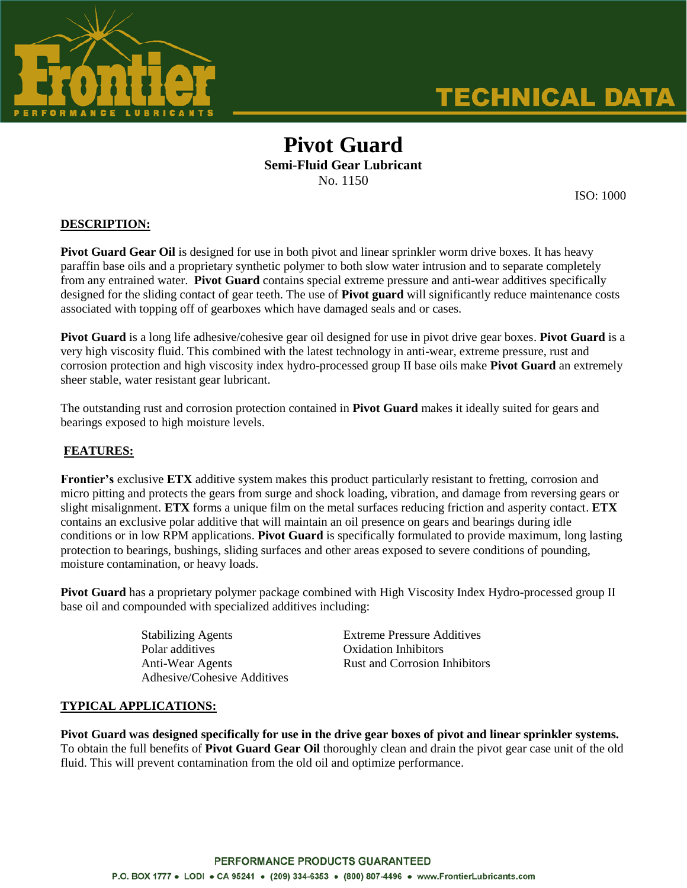

# **TECHNICAL DATA**

## **Pivot Guard Semi-Fluid Gear Lubricant** No. 1150

ISO: 1000

#### **DESCRIPTION:**

Pivot Guard Gear Oil is designed for use in both pivot and linear sprinkler worm drive boxes. It has heavy paraffin base oils and a proprietary synthetic polymer to both slow water intrusion and to separate completely from any entrained water. **Pivot Guard** contains special extreme pressure and anti-wear additives specifically designed for the sliding contact of gear teeth. The use of **Pivot guard** will significantly reduce maintenance costs associated with topping off of gearboxes which have damaged seals and or cases.

**Pivot Guard** is a long life adhesive/cohesive gear oil designed for use in pivot drive gear boxes. **Pivot Guard** is a very high viscosity fluid. This combined with the latest technology in anti-wear, extreme pressure, rust and corrosion protection and high viscosity index hydro-processed group II base oils make **Pivot Guard** an extremely sheer stable, water resistant gear lubricant.

The outstanding rust and corrosion protection contained in **Pivot Guard** makes it ideally suited for gears and bearings exposed to high moisture levels.

#### **FEATURES:**

**Frontier's** exclusive **ETX** additive system makes this product particularly resistant to fretting, corrosion and micro pitting and protects the gears from surge and shock loading, vibration, and damage from reversing gears or slight misalignment. **ETX** forms a unique film on the metal surfaces reducing friction and asperity contact. **ETX** contains an exclusive polar additive that will maintain an oil presence on gears and bearings during idle conditions or in low RPM applications. **Pivot Guard** is specifically formulated to provide maximum, long lasting protection to bearings, bushings, sliding surfaces and other areas exposed to severe conditions of pounding, moisture contamination, or heavy loads.

**Pivot Guard** has a proprietary polymer package combined with High Viscosity Index Hydro-processed group II base oil and compounded with specialized additives including:

> Stabilizing Agents Extreme Pressure Additives Polar additives **Oxidation Inhibitors** Adhesive/Cohesive Additives

Anti-Wear Agents Rust and Corrosion Inhibitors

#### **TYPICAL APPLICATIONS:**

**Pivot Guard was designed specifically for use in the drive gear boxes of pivot and linear sprinkler systems.** To obtain the full benefits of **Pivot Guard Gear Oil** thoroughly clean and drain the pivot gear case unit of the old fluid. This will prevent contamination from the old oil and optimize performance.